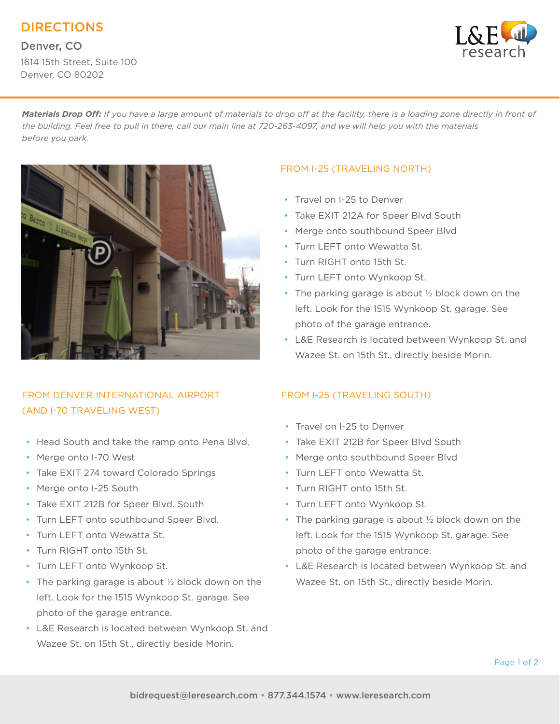DIRECTIONS

Denver, CO 1614 15th Street, Suite 100 Denver, CO 80202



*Materials Drop Off: If you have a large amount of materials to drop off at the facility, there is a loading zone directly in front of the building. Feel free to pull in there, call our main line at 720-263-4097, and we will help you with the materials before you park.*



# FROM DENVER INTERNATIONAL AIRPORT (AND I-70 TRAVELING WEST)

- Head South and take the ramp onto Pena Blvd.
- Merge onto I-70 West
- Take EXIT 274 toward Colorado Springs
- Merge onto I-25 South
- Take EXIT 212B for Speer Blvd. South
- Turn LEFT onto southbound Speer Blvd.
- Turn LEET onto Wewatta St.
- Turn RIGHT onto 15th St.
- Turn LEFT onto Wynkoop St.
- The parking garage is about 1/2 block down on the left. Look for the 1515 Wynkoop St. garage. See photo of the garage entrance.
- L&E Research is located between Wynkoop St. and Wazee St. on 15th St., directly beside Morin.

#### FROM I-25 (TRAVELING NORTH)

- Travel on I-25 to Denver
- Take EXIT 212A for Speer Blvd South
- Merge onto southbound Speer Blvd
- Turn LEFT onto Wewatta St.
- Turn RIGHT onto 15th St.
- Turn LEFT onto Wynkoop St.
- The parking garage is about 1/2 block down on the left. Look for the 1515 Wynkoop St. garage. See photo of the garage entrance.
- L&E Research is located between Wynkoop St. and Wazee St. on 15th St., directly beside Morin.

### FROM I-25 (TRAVELING SOUTH)

- Travel on I-25 to Denver
- Take EXIT 212B for Speer Blvd South
- Merge onto southbound Speer Blvd
- Turn LEFT onto Wewatta St.
- Turn RIGHT onto 15th St.
- Turn LEFT onto Wynkoop St.
- The parking garage is about 1/2 block down on the left. Look for the 1515 Wynkoop St. garage. See photo of the garage entrance.
- L&E Research is located between Wynkoop St. and Wazee St. on 15th St., directly beside Morin.